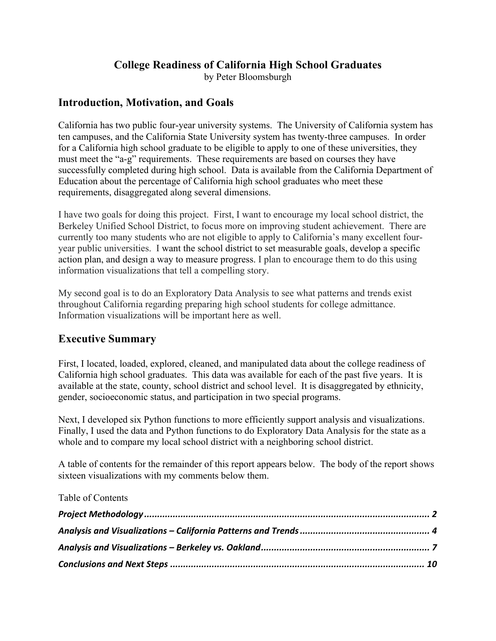### **College Readiness of California High School Graduates**

by Peter Bloomsburgh

#### **Introduction, Motivation, and Goals**

California has two public four-year university systems. The University of California system has ten campuses, and the California State University system has twenty-three campuses. In order for a California high school graduate to be eligible to apply to one of these universities, they must meet the "a-g" requirements. These requirements are based on courses they have successfully completed during high school. Data is available from the California Department of Education about the percentage of California high school graduates who meet these requirements, disaggregated along several dimensions.

I have two goals for doing this project. First, I want to encourage my local school district, the Berkeley Unified School District, to focus more on improving student achievement. There are currently too many students who are not eligible to apply to California's many excellent fouryear public universities. I want the school district to set measurable goals, develop a specific action plan, and design a way to measure progress. I plan to encourage them to do this using information visualizations that tell a compelling story.

My second goal is to do an Exploratory Data Analysis to see what patterns and trends exist throughout California regarding preparing high school students for college admittance. Information visualizations will be important here as well.

#### **Executive Summary**

First, I located, loaded, explored, cleaned, and manipulated data about the college readiness of California high school graduates. This data was available for each of the past five years. It is available at the state, county, school district and school level. It is disaggregated by ethnicity, gender, socioeconomic status, and participation in two special programs.

Next, I developed six Python functions to more efficiently support analysis and visualizations. Finally, I used the data and Python functions to do Exploratory Data Analysis for the state as a whole and to compare my local school district with a neighboring school district.

A table of contents for the remainder of this report appears below. The body of the report shows sixteen visualizations with my comments below them.

Table of Contents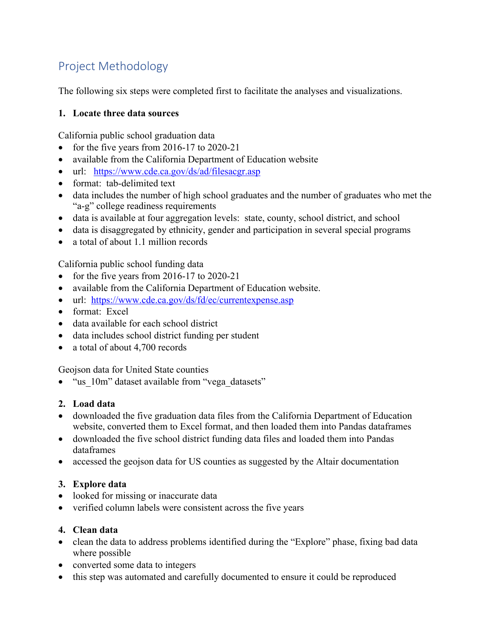# Project Methodology

The following six steps were completed first to facilitate the analyses and visualizations.

#### **1. Locate three data sources**

California public school graduation data

- for the five years from  $2016-17$  to  $2020-21$
- available from the California Department of Education website
- url: https://www.cde.ca.gov/ds/ad/filesacgr.asp
- format: tab-delimited text
- data includes the number of high school graduates and the number of graduates who met the "a-g" college readiness requirements
- data is available at four aggregation levels: state, county, school district, and school
- data is disaggregated by ethnicity, gender and participation in several special programs
- a total of about 1.1 million records

California public school funding data

- for the five years from 2016-17 to 2020-21
- available from the California Department of Education website.
- url: https://www.cde.ca.gov/ds/fd/ec/currentexpense.asp
- format: Excel
- data available for each school district
- data includes school district funding per student
- a total of about 4,700 records

Geojson data for United State counties

• "us\_10m" dataset available from "vega\_datasets"

#### **2. Load data**

- downloaded the five graduation data files from the California Department of Education website, converted them to Excel format, and then loaded them into Pandas dataframes
- downloaded the five school district funding data files and loaded them into Pandas dataframes
- accessed the geojson data for US counties as suggested by the Altair documentation

#### **3. Explore data**

- looked for missing or inaccurate data
- verified column labels were consistent across the five years

#### **4. Clean data**

- clean the data to address problems identified during the "Explore" phase, fixing bad data where possible
- converted some data to integers
- this step was automated and carefully documented to ensure it could be reproduced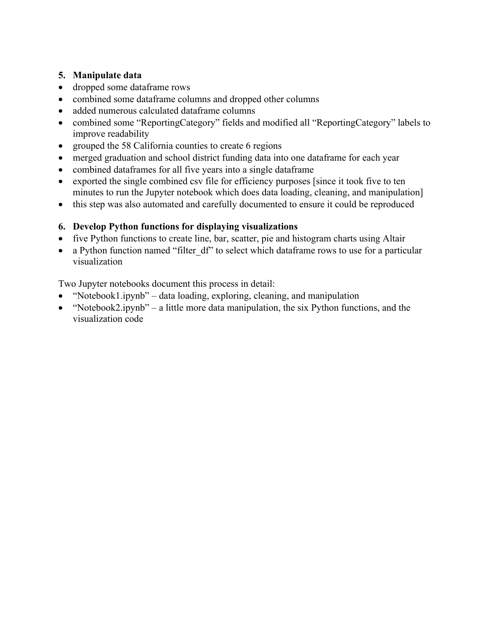#### **5. Manipulate data**

- dropped some dataframe rows
- combined some dataframe columns and dropped other columns
- added numerous calculated dataframe columns
- combined some "ReportingCategory" fields and modified all "ReportingCategory" labels to improve readability
- grouped the 58 California counties to create 6 regions
- merged graduation and school district funding data into one dataframe for each year
- combined dataframes for all five years into a single dataframe
- exported the single combined csv file for efficiency purposes [since it took five to ten minutes to run the Jupyter notebook which does data loading, cleaning, and manipulation]
- this step was also automated and carefully documented to ensure it could be reproduced

#### **6. Develop Python functions for displaying visualizations**

- five Python functions to create line, bar, scatter, pie and histogram charts using Altair
- a Python function named "filter df" to select which dataframe rows to use for a particular visualization

Two Jupyter notebooks document this process in detail:

- "Notebook1.ipynb" data loading, exploring, cleaning, and manipulation
- "Notebook2.ipynb" a little more data manipulation, the six Python functions, and the visualization code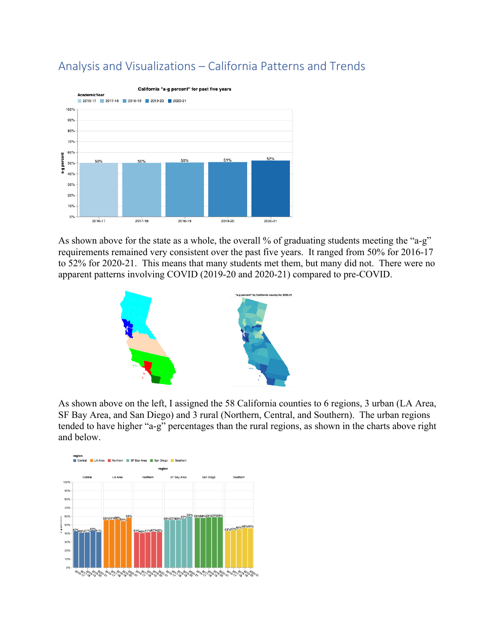

# Analysis and Visualizations – California Patterns and Trends

As shown above for the state as a whole, the overall % of graduating students meeting the "a-g" requirements remained very consistent over the past five years. It ranged from 50% for 2016-17 to 52% for 2020-21. This means that many students met them, but many did not. There were no apparent patterns involving COVID (2019-20 and 2020-21) compared to pre-COVID.



As shown above on the left, I assigned the 58 California counties to 6 regions, 3 urban (LA Area, SF Bay Area, and San Diego) and 3 rural (Northern, Central, and Southern). The urban regions tended to have higher "a-g" percentages than the rural regions, as shown in the charts above right and below.

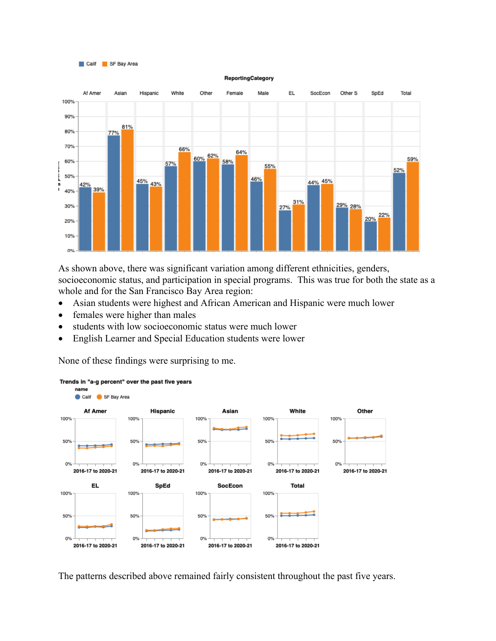



As shown above, there was significant variation among different ethnicities, genders, socioeconomic status, and participation in special programs. This was true for both the state as a whole and for the San Francisco Bay Area region:

- Asian students were highest and African American and Hispanic were much lower
- females were higher than males
- students with low socioeconomic status were much lower
- English Learner and Special Education students were lower

None of these findings were surprising to me.



#### Trends in "a-g percent" over the past five years

The patterns described above remained fairly consistent throughout the past five years.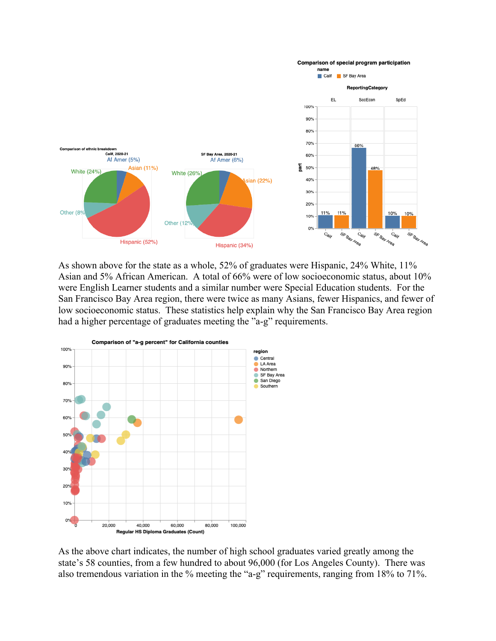

As shown above for the state as a whole, 52% of graduates were Hispanic, 24% White, 11% Asian and 5% African American. A total of 66% were of low socioeconomic status, about 10% were English Learner students and a similar number were Special Education students. For the San Francisco Bay Area region, there were twice as many Asians, fewer Hispanics, and fewer of low socioeconomic status. These statistics help explain why the San Francisco Bay Area region had a higher percentage of graduates meeting the "a-g" requirements.



As the above chart indicates, the number of high school graduates varied greatly among the state's 58 counties, from a few hundred to about 96,000 (for Los Angeles County). There was also tremendous variation in the % meeting the "a-g" requirements, ranging from 18% to 71%.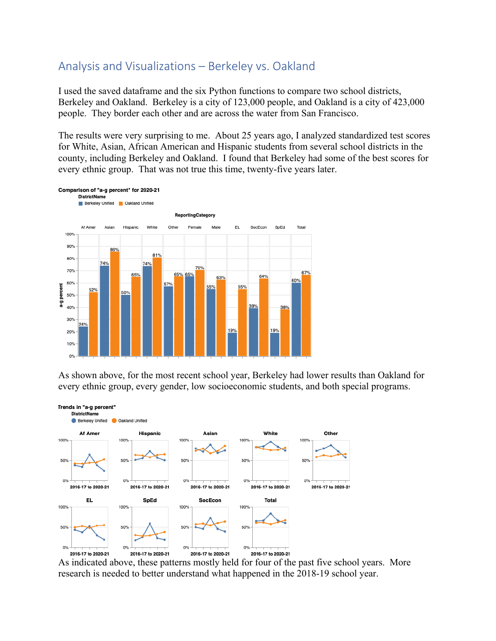### Analysis and Visualizations – Berkeley vs. Oakland

I used the saved dataframe and the six Python functions to compare two school districts, Berkeley and Oakland. Berkeley is a city of 123,000 people, and Oakland is a city of 423,000 people. They border each other and are across the water from San Francisco.

The results were very surprising to me. About 25 years ago, I analyzed standardized test scores for White, Asian, African American and Hispanic students from several school districts in the county, including Berkeley and Oakland. I found that Berkeley had some of the best scores for every ethnic group. That was not true this time, twenty-five years later.



As shown above, for the most recent school year, Berkeley had lower results than Oakland for every ethnic group, every gender, low socioeconomic students, and both special programs.



As indicated above, these patterns mostly held for four of the past five school years. More research is needed to better understand what happened in the 2018-19 school year.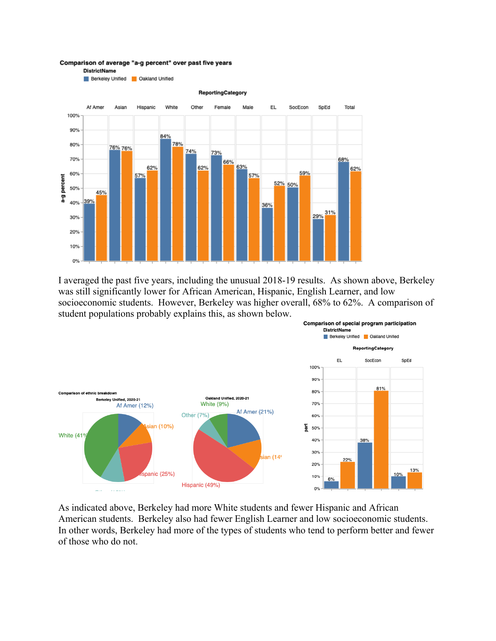Comparison of average "a-g percent" over past five years **DistrictName** 



I averaged the past five years, including the unusual 2018-19 results. As shown above, Berkeley was still significantly lower for African American, Hispanic, English Learner, and low socioeconomic students. However, Berkeley was higher overall, 68% to 62%. A comparison of student populations probably explains this, as shown below.



As indicated above, Berkeley had more White students and fewer Hispanic and African American students. Berkeley also had fewer English Learner and low socioeconomic students. In other words, Berkeley had more of the types of students who tend to perform better and fewer of those who do not.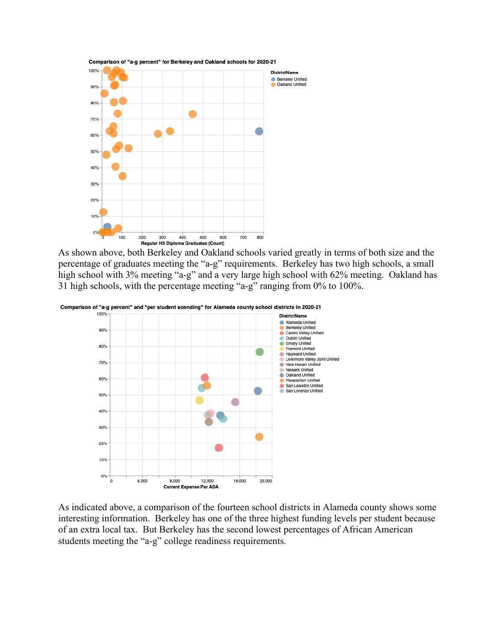

As shown above, both Berkeley and Oakland schools varied greatly in terms of both size and the percentage of graduates meeting the "a-g" requirements. Berkeley has two high schools, a small high school with 3% meeting "a-g" and a very large high school with 62% meeting. Oakland has 31 high schools, with the percentage meeting "a-g" ranging from 0% to 100%.



As indicated above, a comparison of the fourteen school districts in Alameda county shows some interesting information. Berkeley has one of the three highest funding levels per student because of an extra local tax. But Berkeley has the second lowest percentages of African American students meeting the "a-g" college readiness requirements.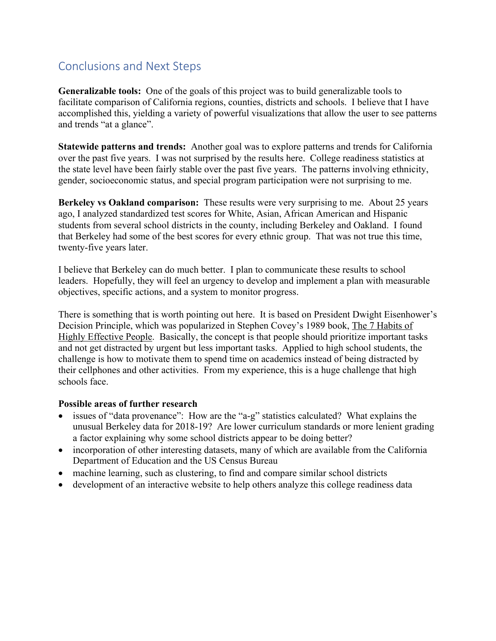## Conclusions and Next Steps

**Generalizable tools:** One of the goals of this project was to build generalizable tools to facilitate comparison of California regions, counties, districts and schools. I believe that I have accomplished this, yielding a variety of powerful visualizations that allow the user to see patterns and trends "at a glance".

**Statewide patterns and trends:** Another goal was to explore patterns and trends for California over the past five years. I was not surprised by the results here. College readiness statistics at the state level have been fairly stable over the past five years. The patterns involving ethnicity, gender, socioeconomic status, and special program participation were not surprising to me.

**Berkeley vs Oakland comparison:** These results were very surprising to me.About 25 years ago, I analyzed standardized test scores for White, Asian, African American and Hispanic students from several school districts in the county, including Berkeley and Oakland. I found that Berkeley had some of the best scores for every ethnic group. That was not true this time, twenty-five years later.

I believe that Berkeley can do much better. I plan to communicate these results to school leaders. Hopefully, they will feel an urgency to develop and implement a plan with measurable objectives, specific actions, and a system to monitor progress.

There is something that is worth pointing out here. It is based on President Dwight Eisenhower's Decision Principle, which was popularized in Stephen Covey's 1989 book, The 7 Habits of Highly Effective People. Basically, the concept is that people should prioritize important tasks and not get distracted by urgent but less important tasks. Applied to high school students, the challenge is how to motivate them to spend time on academics instead of being distracted by their cellphones and other activities. From my experience, this is a huge challenge that high schools face.

#### **Possible areas of further research**

- issues of "data provenance": How are the "a-g" statistics calculated? What explains the unusual Berkeley data for 2018-19? Are lower curriculum standards or more lenient grading a factor explaining why some school districts appear to be doing better?
- incorporation of other interesting datasets, many of which are available from the California Department of Education and the US Census Bureau
- machine learning, such as clustering, to find and compare similar school districts
- development of an interactive website to help others analyze this college readiness data